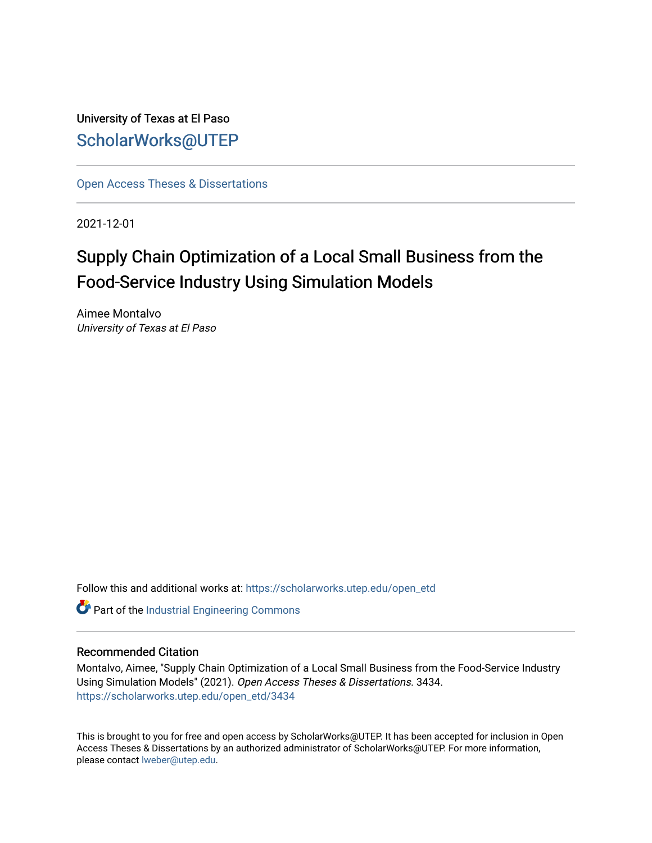University of Texas at El Paso [ScholarWorks@UTEP](https://scholarworks.utep.edu/)

[Open Access Theses & Dissertations](https://scholarworks.utep.edu/open_etd) 

2021-12-01

# Supply Chain Optimization of a Local Small Business from the Food-Service Industry Using Simulation Models

Aimee Montalvo University of Texas at El Paso

Follow this and additional works at: [https://scholarworks.utep.edu/open\\_etd](https://scholarworks.utep.edu/open_etd?utm_source=scholarworks.utep.edu%2Fopen_etd%2F3434&utm_medium=PDF&utm_campaign=PDFCoverPages)

Part of the [Industrial Engineering Commons](http://network.bepress.com/hgg/discipline/307?utm_source=scholarworks.utep.edu%2Fopen_etd%2F3434&utm_medium=PDF&utm_campaign=PDFCoverPages)

#### Recommended Citation

Montalvo, Aimee, "Supply Chain Optimization of a Local Small Business from the Food-Service Industry Using Simulation Models" (2021). Open Access Theses & Dissertations. 3434. [https://scholarworks.utep.edu/open\\_etd/3434](https://scholarworks.utep.edu/open_etd/3434?utm_source=scholarworks.utep.edu%2Fopen_etd%2F3434&utm_medium=PDF&utm_campaign=PDFCoverPages) 

This is brought to you for free and open access by ScholarWorks@UTEP. It has been accepted for inclusion in Open Access Theses & Dissertations by an authorized administrator of ScholarWorks@UTEP. For more information, please contact [lweber@utep.edu.](mailto:lweber@utep.edu)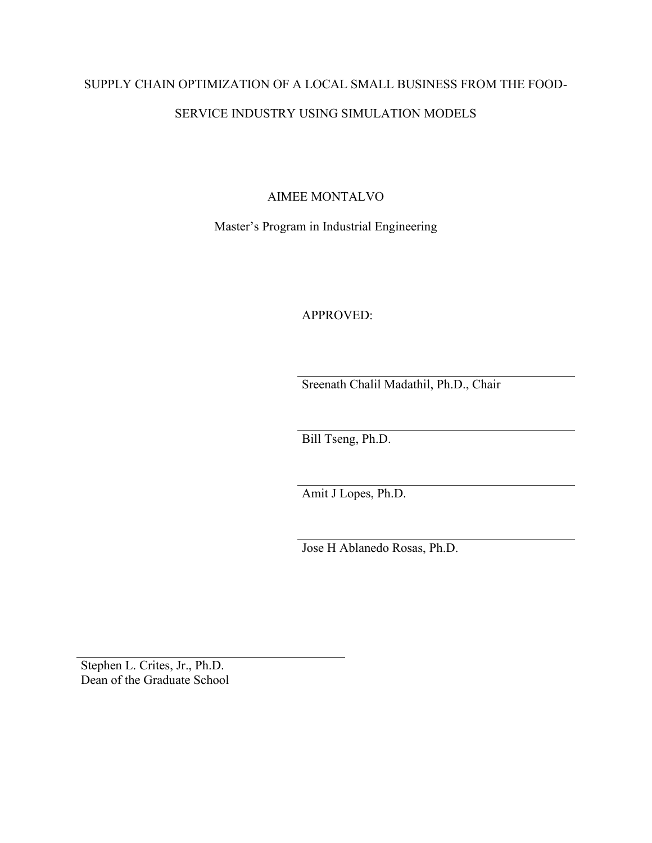# SUPPLY CHAIN OPTIMIZATION OF A LOCAL SMALL BUSINESS FROM THE FOOD-SERVICE INDUSTRY USING SIMULATION MODELS

AIMEE MONTALVO

Master's Program in Industrial Engineering

APPROVED:

Sreenath Chalil Madathil, Ph.D., Chair

Bill Tseng, Ph.D.

Amit J Lopes, Ph.D.

Jose H Ablanedo Rosas, Ph.D.

Stephen L. Crites, Jr., Ph.D. Dean of the Graduate School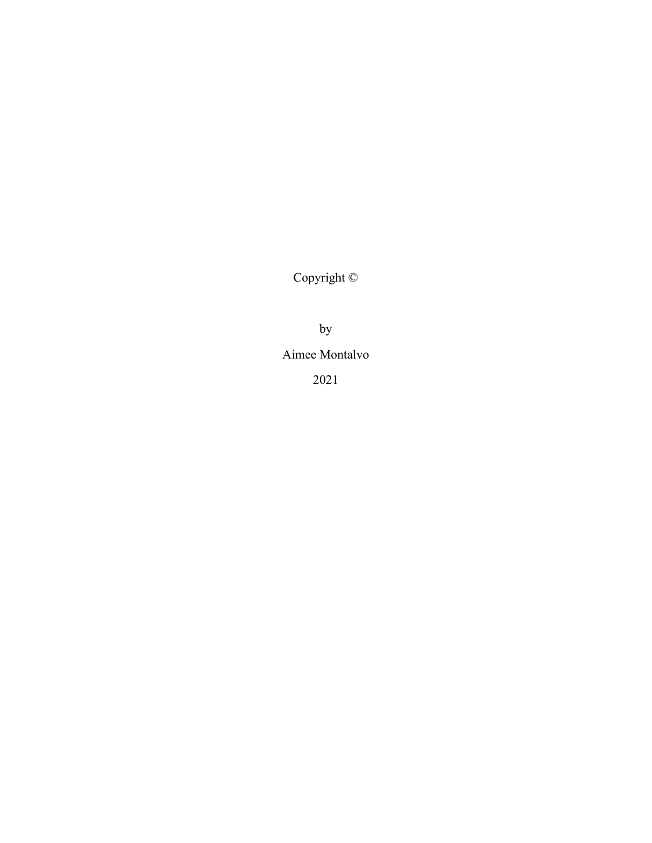Copyright ©

by

Aimee Montalvo

2021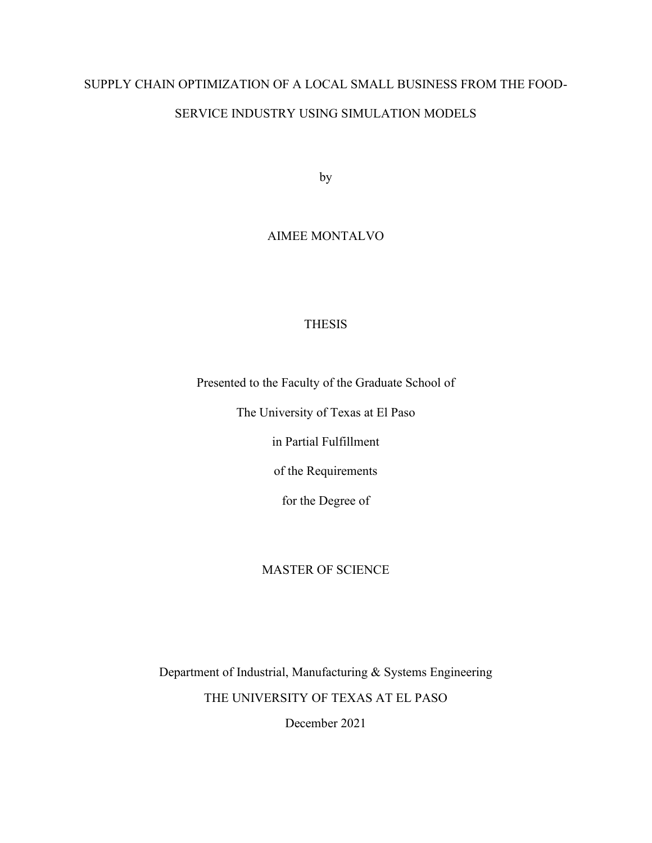# SUPPLY CHAIN OPTIMIZATION OF A LOCAL SMALL BUSINESS FROM THE FOOD-

# SERVICE INDUSTRY USING SIMULATION MODELS

by

# AIMEE MONTALVO

### **THESIS**

Presented to the Faculty of the Graduate School of

The University of Texas at El Paso

in Partial Fulfillment

of the Requirements

for the Degree of

### MASTER OF SCIENCE

Department of Industrial, Manufacturing & Systems Engineering THE UNIVERSITY OF TEXAS AT EL PASO

December 2021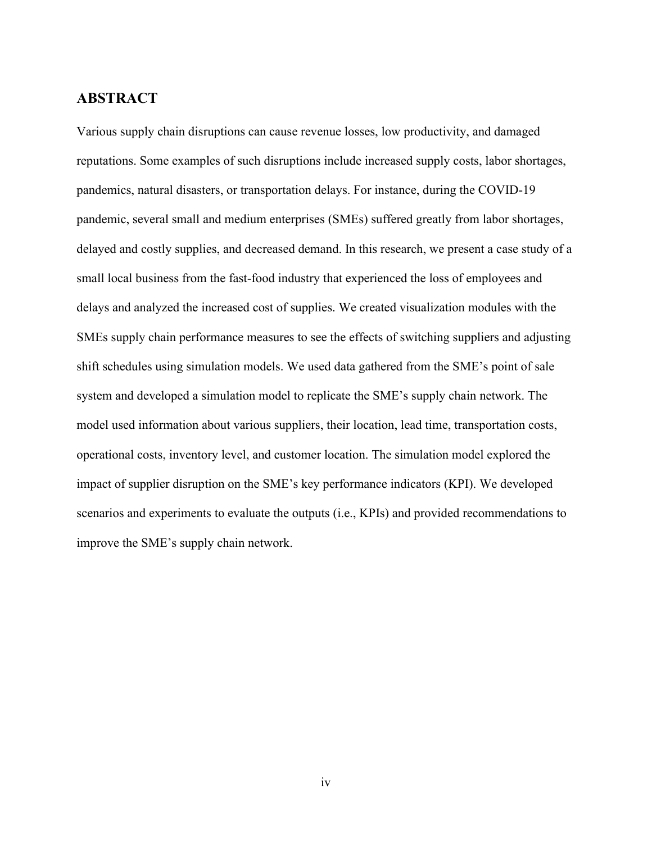# <span id="page-4-0"></span>**ABSTRACT**

<span id="page-4-1"></span>Various supply chain disruptions can cause revenue losses, low productivity, and damaged reputations. Some examples of such disruptions include increased supply costs, labor shortages, pandemics, natural disasters, or transportation delays. For instance, during the COVID-19 pandemic, several small and medium enterprises (SMEs) suffered greatly from labor shortages, delayed and costly supplies, and decreased demand. In this research, we present a case study of a small local business from the fast-food industry that experienced the loss of employees and delays and analyzed the increased cost of supplies. We created visualization modules with the SMEs supply chain performance measures to see the effects of switching suppliers and adjusting shift schedules using simulation models. We used data gathered from the SME's point of sale system and developed a simulation model to replicate the SME's supply chain network. The model used information about various suppliers, their location, lead time, transportation costs, operational costs, inventory level, and customer location. The simulation model explored the impact of supplier disruption on the SME's key performance indicators (KPI). We developed scenarios and experiments to evaluate the outputs (i.e., KPIs) and provided recommendations to improve the SME's supply chain network.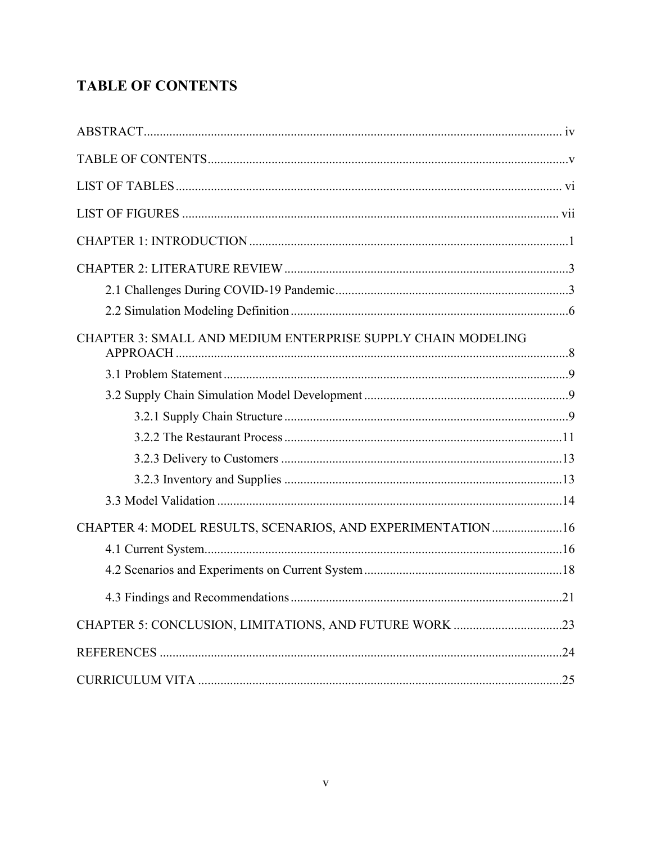# **TABLE OF CONTENTS**

<span id="page-5-0"></span>

| CHAPTER 3: SMALL AND MEDIUM ENTERPRISE SUPPLY CHAIN MODELING |     |
|--------------------------------------------------------------|-----|
|                                                              |     |
|                                                              |     |
|                                                              |     |
|                                                              |     |
|                                                              |     |
|                                                              |     |
|                                                              |     |
| CHAPTER 4: MODEL RESULTS, SCENARIOS, AND EXPERIMENTATION  16 |     |
|                                                              |     |
|                                                              |     |
|                                                              | .21 |
|                                                              |     |
|                                                              |     |
|                                                              |     |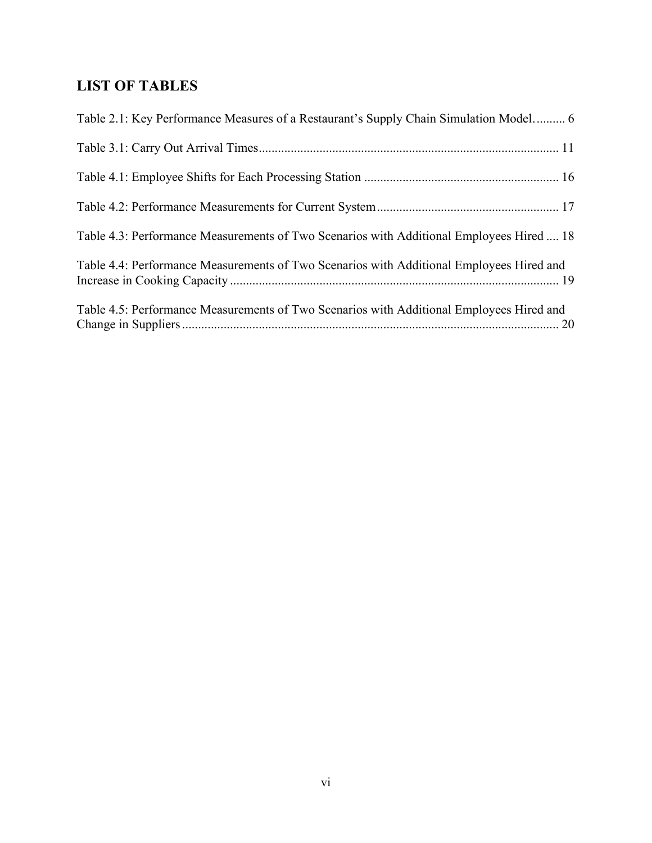# **LIST OF TABLES**

<span id="page-6-0"></span>

| Table 2.1: Key Performance Measures of a Restaurant's Supply Chain Simulation Model 6    |
|------------------------------------------------------------------------------------------|
|                                                                                          |
|                                                                                          |
|                                                                                          |
| Table 4.3: Performance Measurements of Two Scenarios with Additional Employees Hired  18 |
| Table 4.4: Performance Measurements of Two Scenarios with Additional Employees Hired and |
| Table 4.5: Performance Measurements of Two Scenarios with Additional Employees Hired and |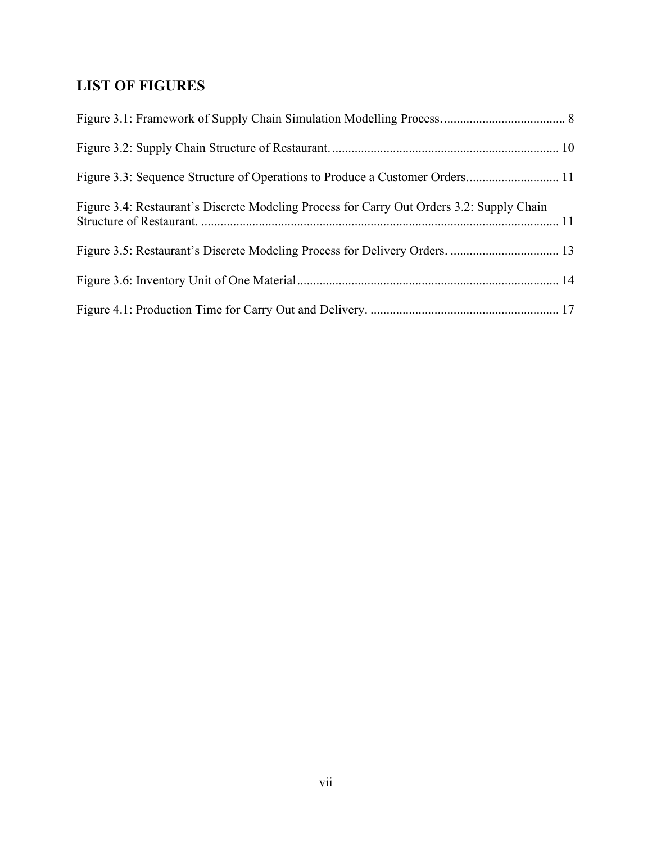# **LIST OF FIGURES**

| Figure 3.4: Restaurant's Discrete Modeling Process for Carry Out Orders 3.2: Supply Chain |  |
|-------------------------------------------------------------------------------------------|--|
|                                                                                           |  |
|                                                                                           |  |
|                                                                                           |  |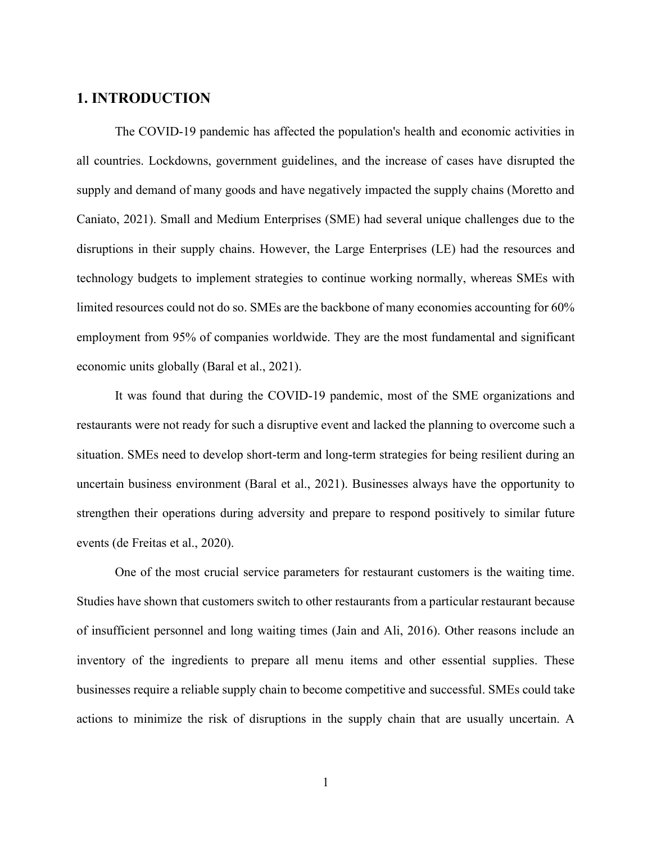# <span id="page-8-0"></span>**1. INTRODUCTION**

The COVID-19 pandemic has affected the population's health and economic activities in all countries. Lockdowns, government guidelines, and the increase of cases have disrupted the supply and demand of many goods and have negatively impacted the supply chains (Moretto and Caniato, 2021). Small and Medium Enterprises (SME) had several unique challenges due to the disruptions in their supply chains. However, the Large Enterprises (LE) had the resources and technology budgets to implement strategies to continue working normally, whereas SMEs with limited resources could not do so. SMEs are the backbone of many economies accounting for 60% employment from 95% of companies worldwide. They are the most fundamental and significant economic units globally (Baral et al., 2021).

It was found that during the COVID-19 pandemic, most of the SME organizations and restaurants were not ready for such a disruptive event and lacked the planning to overcome such a situation. SMEs need to develop short-term and long-term strategies for being resilient during an uncertain business environment (Baral et al., 2021). Businesses always have the opportunity to strengthen their operations during adversity and prepare to respond positively to similar future events (de Freitas et al., 2020).

One of the most crucial service parameters for restaurant customers is the waiting time. Studies have shown that customers switch to other restaurants from a particular restaurant because of insufficient personnel and long waiting times (Jain and Ali, 2016). Other reasons include an inventory of the ingredients to prepare all menu items and other essential supplies. These businesses require a reliable supply chain to become competitive and successful. SMEs could take actions to minimize the risk of disruptions in the supply chain that are usually uncertain. A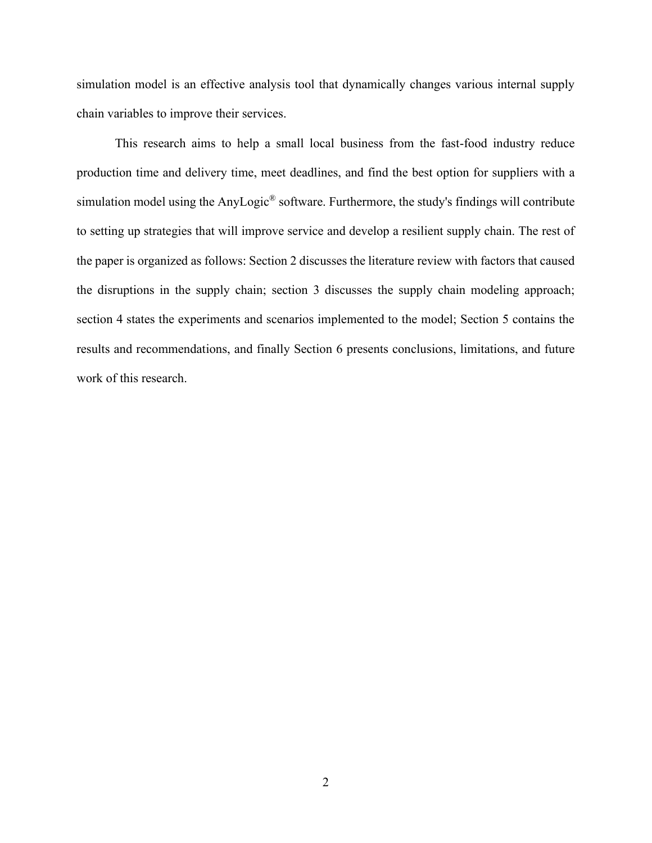simulation model is an effective analysis tool that dynamically changes various internal supply chain variables to improve their services.

This research aims to help a small local business from the fast-food industry reduce production time and delivery time, meet deadlines, and find the best option for suppliers with a simulation model using the AnyLogic® software. Furthermore, the study's findings will contribute to setting up strategies that will improve service and develop a resilient supply chain. The rest of the paper is organized as follows: Section 2 discusses the literature review with factors that caused the disruptions in the supply chain; section 3 discusses the supply chain modeling approach; section 4 states the experiments and scenarios implemented to the model; Section 5 contains the results and recommendations, and finally Section 6 presents conclusions, limitations, and future work of this research.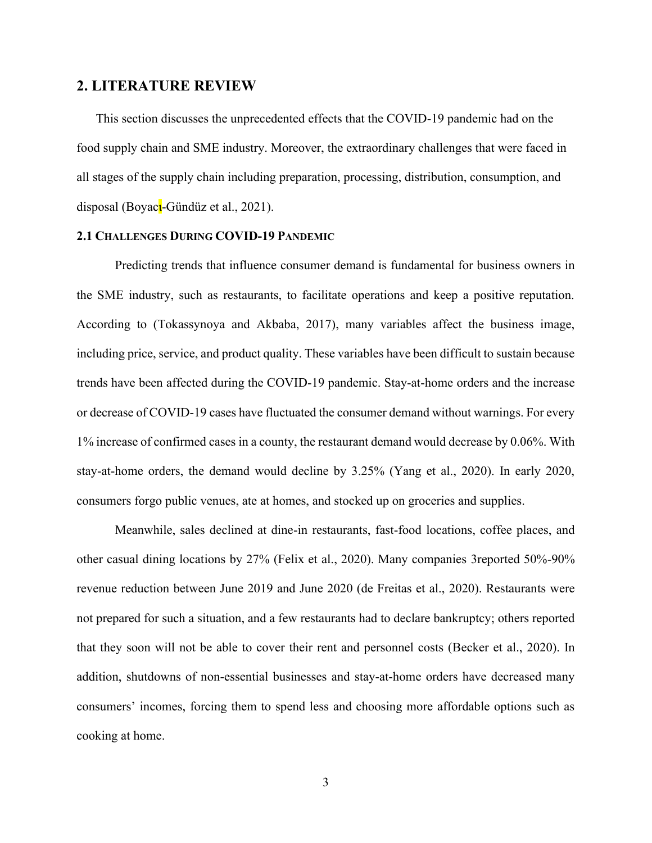#### <span id="page-10-0"></span>**2. LITERATURE REVIEW**

This section discusses the unprecedented effects that the COVID-19 pandemic had on the food supply chain and SME industry. Moreover, the extraordinary challenges that were faced in all stages of the supply chain including preparation, processing, distribution, consumption, and disposal (Boyac<sup>l</sup>-Gündüz et al., 2021).

#### <span id="page-10-1"></span>**2.1 CHALLENGES DURING COVID-19 PANDEMIC**

Predicting trends that influence consumer demand is fundamental for business owners in the SME industry, such as restaurants, to facilitate operations and keep a positive reputation. According to (Tokassynoya and Akbaba, 2017), many variables affect the business image, including price, service, and product quality. These variables have been difficult to sustain because trends have been affected during the COVID-19 pandemic. Stay-at-home orders and the increase or decrease of COVID-19 cases have fluctuated the consumer demand without warnings. For every 1% increase of confirmed cases in a county, the restaurant demand would decrease by 0.06%. With stay-at-home orders, the demand would decline by 3.25% (Yang et al., 2020). In early 2020, consumers forgo public venues, ate at homes, and stocked up on groceries and supplies.

Meanwhile, sales declined at dine-in restaurants, fast-food locations, coffee places, and other casual dining locations by 27% (Felix et al., 2020). Many companies 3reported 50%-90% revenue reduction between June 2019 and June 2020 (de Freitas et al., 2020). Restaurants were not prepared for such a situation, and a few restaurants had to declare bankruptcy; others reported that they soon will not be able to cover their rent and personnel costs (Becker et al., 2020). In addition, shutdowns of non-essential businesses and stay-at-home orders have decreased many consumers' incomes, forcing them to spend less and choosing more affordable options such as cooking at home.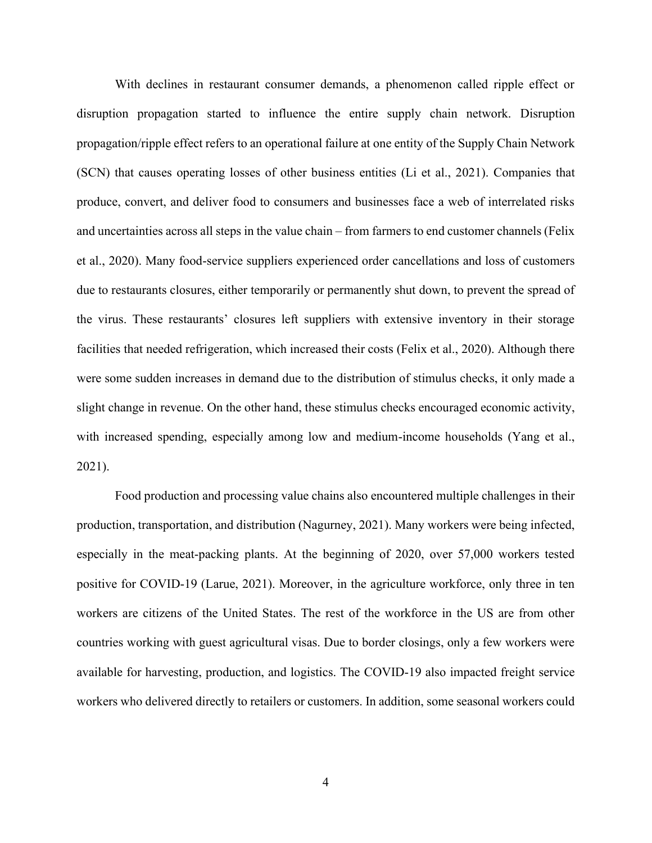With declines in restaurant consumer demands, a phenomenon called ripple effect or disruption propagation started to influence the entire supply chain network. Disruption propagation/ripple effect refers to an operational failure at one entity of the Supply Chain Network (SCN) that causes operating losses of other business entities (Li et al., 2021). Companies that produce, convert, and deliver food to consumers and businesses face a web of interrelated risks and uncertainties across all steps in the value chain – from farmers to end customer channels (Felix et al., 2020). Many food-service suppliers experienced order cancellations and loss of customers due to restaurants closures, either temporarily or permanently shut down, to prevent the spread of the virus. These restaurants' closures left suppliers with extensive inventory in their storage facilities that needed refrigeration, which increased their costs (Felix et al., 2020). Although there were some sudden increases in demand due to the distribution of stimulus checks, it only made a slight change in revenue. On the other hand, these stimulus checks encouraged economic activity, with increased spending, especially among low and medium-income households (Yang et al., 2021).

Food production and processing value chains also encountered multiple challenges in their production, transportation, and distribution (Nagurney, 2021). Many workers were being infected, especially in the meat-packing plants. At the beginning of 2020, over 57,000 workers tested positive for COVID-19 (Larue, 2021). Moreover, in the agriculture workforce, only three in ten workers are citizens of the United States. The rest of the workforce in the US are from other countries working with guest agricultural visas. Due to border closings, only a few workers were available for harvesting, production, and logistics. The COVID-19 also impacted freight service workers who delivered directly to retailers or customers. In addition, some seasonal workers could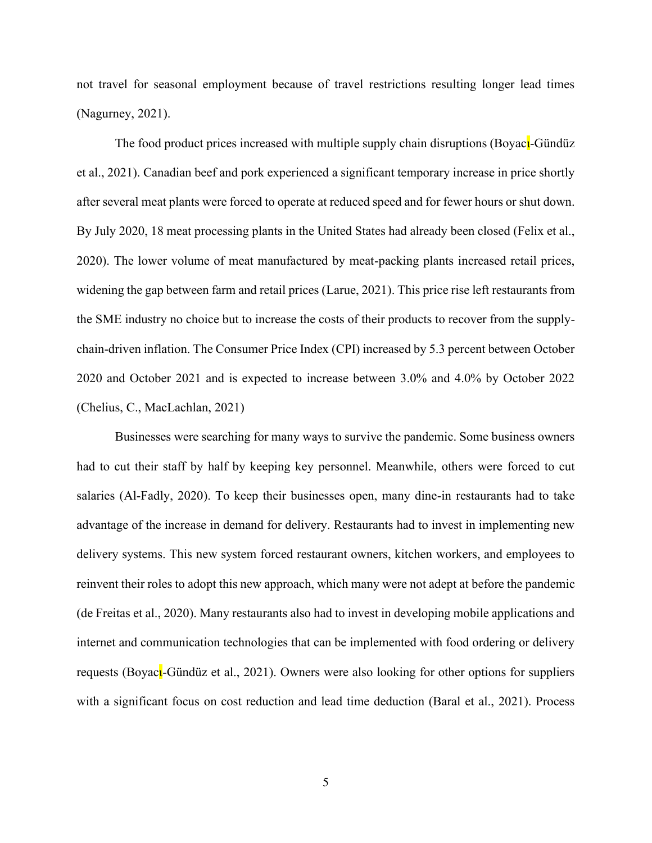not travel for seasonal employment because of travel restrictions resulting longer lead times (Nagurney, 2021).

The food product prices increased with multiple supply chain disruptions (Boyac<sub>l</sub>-Gündüz et al., 2021). Canadian beef and pork experienced a significant temporary increase in price shortly after several meat plants were forced to operate at reduced speed and for fewer hours or shut down. By July 2020, 18 meat processing plants in the United States had already been closed (Felix et al., 2020). The lower volume of meat manufactured by meat-packing plants increased retail prices, widening the gap between farm and retail prices (Larue, 2021). This price rise left restaurants from the SME industry no choice but to increase the costs of their products to recover from the supplychain-driven inflation. The Consumer Price Index (CPI) increased by 5.3 percent between October 2020 and October 2021 and is expected to increase between 3.0% and 4.0% by October 2022 (Chelius, C., MacLachlan, 2021)

Businesses were searching for many ways to survive the pandemic. Some business owners had to cut their staff by half by keeping key personnel. Meanwhile, others were forced to cut salaries (Al-Fadly, 2020). To keep their businesses open, many dine-in restaurants had to take advantage of the increase in demand for delivery. Restaurants had to invest in implementing new delivery systems. This new system forced restaurant owners, kitchen workers, and employees to reinvent their roles to adopt this new approach, which many were not adept at before the pandemic (de Freitas et al., 2020). Many restaurants also had to invest in developing mobile applications and internet and communication technologies that can be implemented with food ordering or delivery requests (Boyacι-Gündüz et al., 2021). Owners were also looking for other options for suppliers with a significant focus on cost reduction and lead time deduction (Baral et al., 2021). Process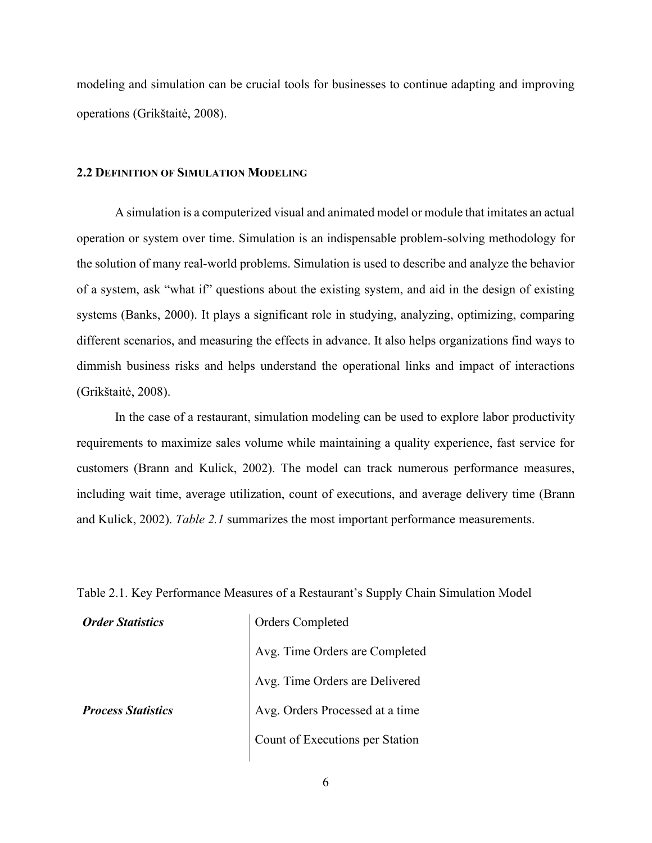modeling and simulation can be crucial tools for businesses to continue adapting and improving operations (Grikštaitė, 2008).

#### <span id="page-13-0"></span>**2.2 DEFINITION OF SIMULATION MODELING**

A simulation is a computerized visual and animated model or module that imitates an actual operation or system over time. Simulation is an indispensable problem-solving methodology for the solution of many real-world problems. Simulation is used to describe and analyze the behavior of a system, ask "what if" questions about the existing system, and aid in the design of existing systems (Banks, 2000). It plays a significant role in studying, analyzing, optimizing, comparing different scenarios, and measuring the effects in advance. It also helps organizations find ways to dimmish business risks and helps understand the operational links and impact of interactions (Grikštaitė, 2008).

In the case of a restaurant, simulation modeling can be used to explore labor productivity requirements to maximize sales volume while maintaining a quality experience, fast service for customers (Brann and Kulick, 2002). The model can track numerous performance measures, including wait time, average utilization, count of executions, and average delivery time (Brann and Kulick, 2002). *Table 2.1* summarizes the most important performance measurements.

<span id="page-13-1"></span>Table 2.1. Key Performance Measures of a Restaurant's Supply Chain Simulation Model

*Order Statistics* | Orders Completed Avg. Time Orders are Completed Avg. Time Orders are Delivered *Process Statistics* Avg. Orders Processed at a time Count of Executions per Station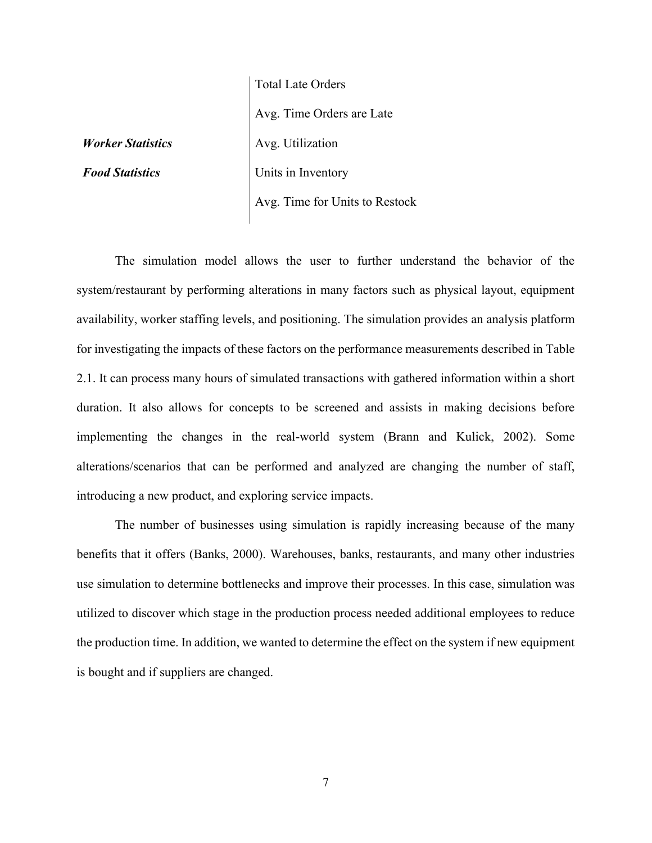Total Late Orders Avg. Time Orders are Late *Worker Statistics* | Avg. Utilization **Food Statistics** Units in Inventory Avg. Time for Units to Restock

The simulation model allows the user to further understand the behavior of the system/restaurant by performing alterations in many factors such as physical layout, equipment availability, worker staffing levels, and positioning. The simulation provides an analysis platform for investigating the impacts of these factors on the performance measurements described in Table 2.1. It can process many hours of simulated transactions with gathered information within a short duration. It also allows for concepts to be screened and assists in making decisions before implementing the changes in the real-world system (Brann and Kulick, 2002). Some alterations/scenarios that can be performed and analyzed are changing the number of staff, introducing a new product, and exploring service impacts.

The number of businesses using simulation is rapidly increasing because of the many benefits that it offers (Banks, 2000). Warehouses, banks, restaurants, and many other industries use simulation to determine bottlenecks and improve their processes. In this case, simulation was utilized to discover which stage in the production process needed additional employees to reduce the production time. In addition, we wanted to determine the effect on the system if new equipment is bought and if suppliers are changed.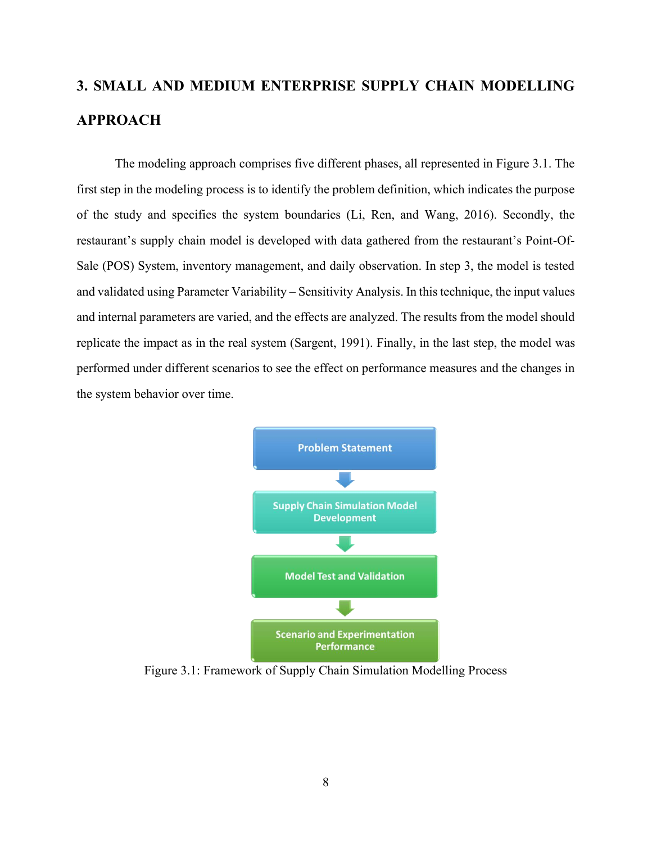# <span id="page-15-0"></span>**3. SMALL AND MEDIUM ENTERPRISE SUPPLY CHAIN MODELLING APPROACH**

The modeling approach comprises five different phases, all represented in Figure 3.1. The first step in the modeling process is to identify the problem definition, which indicates the purpose of the study and specifies the system boundaries (Li, Ren, and Wang, 2016). Secondly, the restaurant's supply chain model is developed with data gathered from the restaurant's Point-Of-Sale (POS) System, inventory management, and daily observation. In step 3, the model is tested and validated using Parameter Variability – Sensitivity Analysis. In this technique, the input values and internal parameters are varied, and the effects are analyzed. The results from the model should replicate the impact as in the real system (Sargent, 1991). Finally, in the last step, the model was performed under different scenarios to see the effect on performance measures and the changes in the system behavior over time.



<span id="page-15-1"></span>Figure 3.1: Framework of Supply Chain Simulation Modelling Process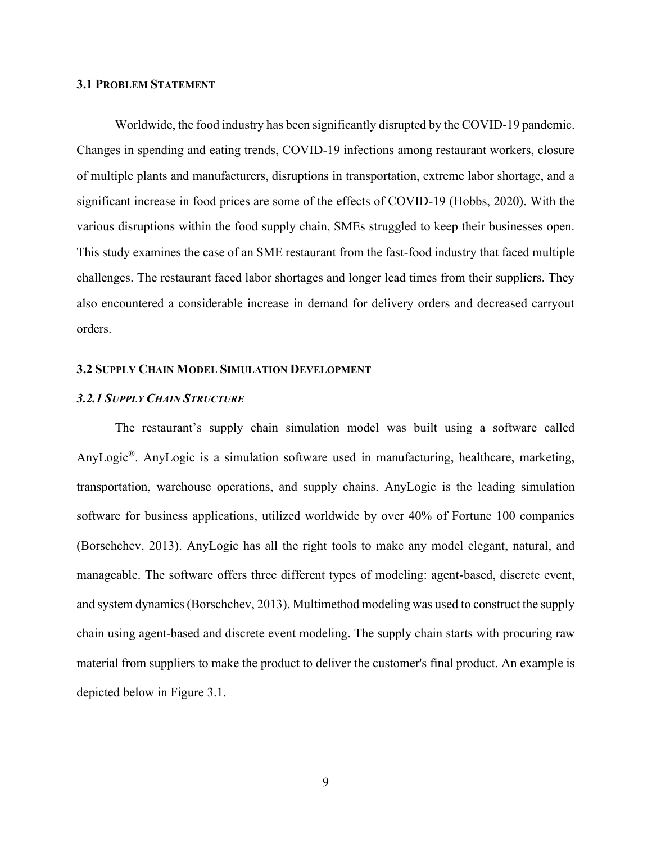#### <span id="page-16-0"></span>**3.1 PROBLEM STATEMENT**

Worldwide, the food industry has been significantly disrupted by the COVID-19 pandemic. Changes in spending and eating trends, COVID-19 infections among restaurant workers, closure of multiple plants and manufacturers, disruptions in transportation, extreme labor shortage, and a significant increase in food prices are some of the effects of COVID-19 (Hobbs, 2020). With the various disruptions within the food supply chain, SMEs struggled to keep their businesses open. This study examines the case of an SME restaurant from the fast-food industry that faced multiple challenges. The restaurant faced labor shortages and longer lead times from their suppliers. They also encountered a considerable increase in demand for delivery orders and decreased carryout orders.

#### <span id="page-16-1"></span>**3.2 SUPPLY CHAIN MODEL SIMULATION DEVELOPMENT**

#### <span id="page-16-2"></span>*3.2.1 SUPPLY CHAIN STRUCTURE*

The restaurant's supply chain simulation model was built using a software called AnyLogic®. AnyLogic is a simulation software used in manufacturing, healthcare, marketing, transportation, warehouse operations, and supply chains. AnyLogic is the leading simulation software for business applications, utilized worldwide by over 40% of Fortune 100 companies (Borschchev, 2013). AnyLogic has all the right tools to make any model elegant, natural, and manageable. The software offers three different types of modeling: agent-based, discrete event, and system dynamics (Borschchev, 2013). Multimethod modeling was used to construct the supply chain using agent-based and discrete event modeling. The supply chain starts with procuring raw material from suppliers to make the product to deliver the customer's final product. An example is depicted below in Figure 3.1.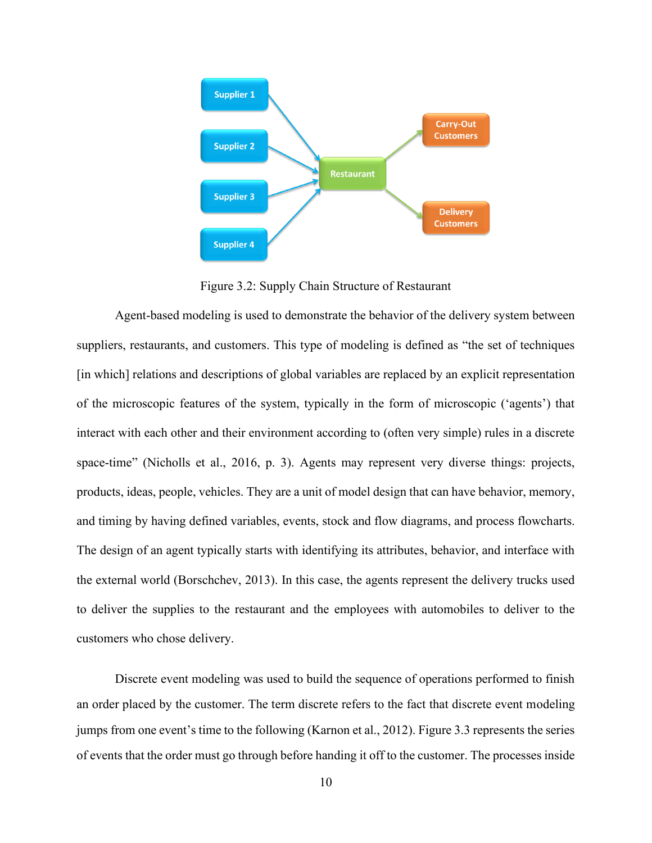

Figure 3.2: Supply Chain Structure of Restaurant

<span id="page-17-0"></span>Agent-based modeling is used to demonstrate the behavior of the delivery system between suppliers, restaurants, and customers. This type of modeling is defined as "the set of techniques [in which] relations and descriptions of global variables are replaced by an explicit representation of the microscopic features of the system, typically in the form of microscopic ('agents') that interact with each other and their environment according to (often very simple) rules in a discrete space-time" (Nicholls et al., 2016, p. 3). Agents may represent very diverse things: projects, products, ideas, people, vehicles. They are a unit of model design that can have behavior, memory, and timing by having defined variables, events, stock and flow diagrams, and process flowcharts. The design of an agent typically starts with identifying its attributes, behavior, and interface with the external world (Borschchev, 2013). In this case, the agents represent the delivery trucks used to deliver the supplies to the restaurant and the employees with automobiles to deliver to the customers who chose delivery.

Discrete event modeling was used to build the sequence of operations performed to finish an order placed by the customer. The term discrete refers to the fact that discrete event modeling jumps from one event's time to the following (Karnon et al., 2012). Figure 3.3 represents the series of events that the order must go through before handing it off to the customer. The processes inside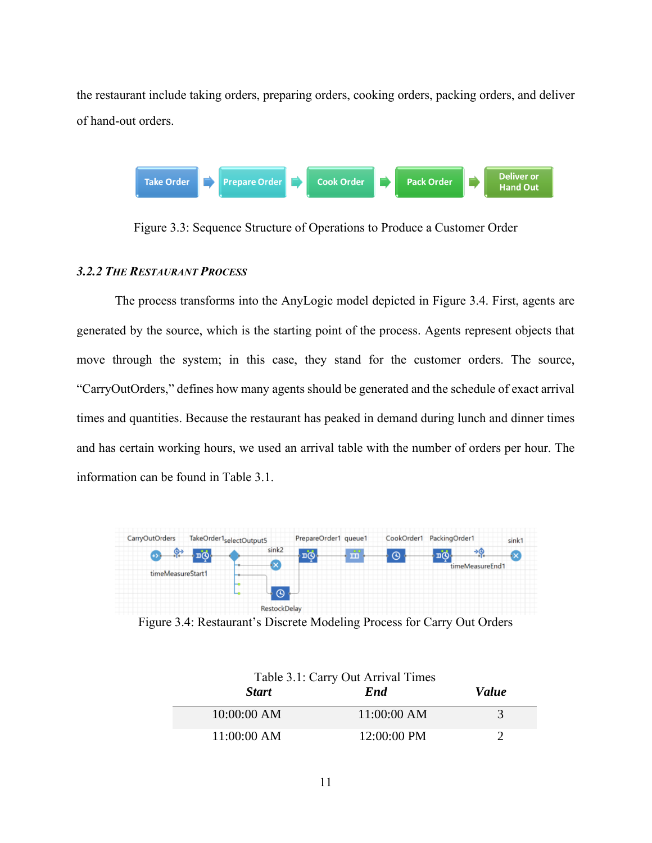the restaurant include taking orders, preparing orders, cooking orders, packing orders, and deliver of hand-out orders.



Figure 3.3: Sequence Structure of Operations to Produce a Customer Order

#### <span id="page-18-2"></span><span id="page-18-0"></span>*3.2.2 THE RESTAURANT PROCESS*

The process transforms into the AnyLogic model depicted in Figure 3.4. First, agents are generated by the source, which is the starting point of the process. Agents represent objects that move through the system; in this case, they stand for the customer orders. The source, "CarryOutOrders," defines how many agents should be generated and the schedule of exact arrival times and quantities. Because the restaurant has peaked in demand during lunch and dinner times and has certain working hours, we used an arrival table with the number of orders per hour. The information can be found in Table 3.1.



<span id="page-18-3"></span><span id="page-18-1"></span>Figure 3.4: Restaurant's Discrete Modeling Process for Carry Out Orders

|              | Table 3.1: Carry Out Arrival Times |              |
|--------------|------------------------------------|--------------|
| <b>Start</b> | <b>End</b>                         | <i>Value</i> |
| 10:00:00 AM  | 11:00:00 AM                        | 3            |
| 11:00:00 AM  | $12:00:00$ PM                      |              |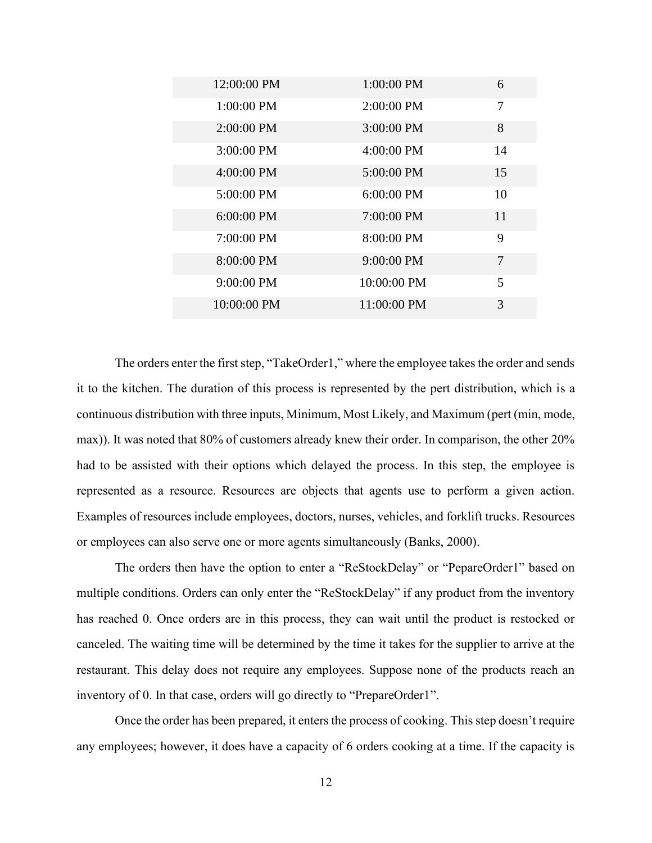| 12:00:00 PM  | $1:00:00$ PM | 6  |
|--------------|--------------|----|
| 1:00:00 PM   | 2:00:00 PM   | 7  |
| $2:00:00$ PM | 3:00:00 PM   | 8  |
| 3:00:00 PM   | 4:00:00 PM   | 14 |
| $4:00:00$ PM | 5:00:00 PM   | 15 |
| 5:00:00 PM   | $6:00:00$ PM | 10 |
| $6:00:00$ PM | 7:00:00 PM   | 11 |
| 7:00:00 PM   | $8:00:00$ PM | 9  |
| 8:00:00 PM   | 9:00:00 PM   | 7  |
| $9:00:00$ PM | 10:00:00 PM  | 5  |
| 10:00:00 PM  | 11:00:00 PM  | 3  |
|              |              |    |

The orders enter the first step, "TakeOrder1," where the employee takes the order and sends it to the kitchen. The duration of this process is represented by the pert distribution, which is a continuous distribution with three inputs, Minimum, Most Likely, and Maximum (pert (min, mode, max)). It was noted that 80% of customers already knew their order. In comparison, the other 20% had to be assisted with their options which delayed the process. In this step, the employee is represented as a resource. Resources are objects that agents use to perform a given action. Examples of resources include employees, doctors, nurses, vehicles, and forklift trucks. Resources or employees can also serve one or more agents simultaneously (Banks, 2000).

The orders then have the option to enter a "ReStockDelay" or "PepareOrder1" based on multiple conditions. Orders can only enter the "ReStockDelay" if any product from the inventory has reached 0. Once orders are in this process, they can wait until the product is restocked or canceled. The waiting time will be determined by the time it takes for the supplier to arrive at the restaurant. This delay does not require any employees. Suppose none of the products reach an inventory of 0. In that case, orders will go directly to "PrepareOrder1".

Once the order has been prepared, it enters the process of cooking. This step doesn't require any employees; however, it does have a capacity of 6 orders cooking at a time. If the capacity is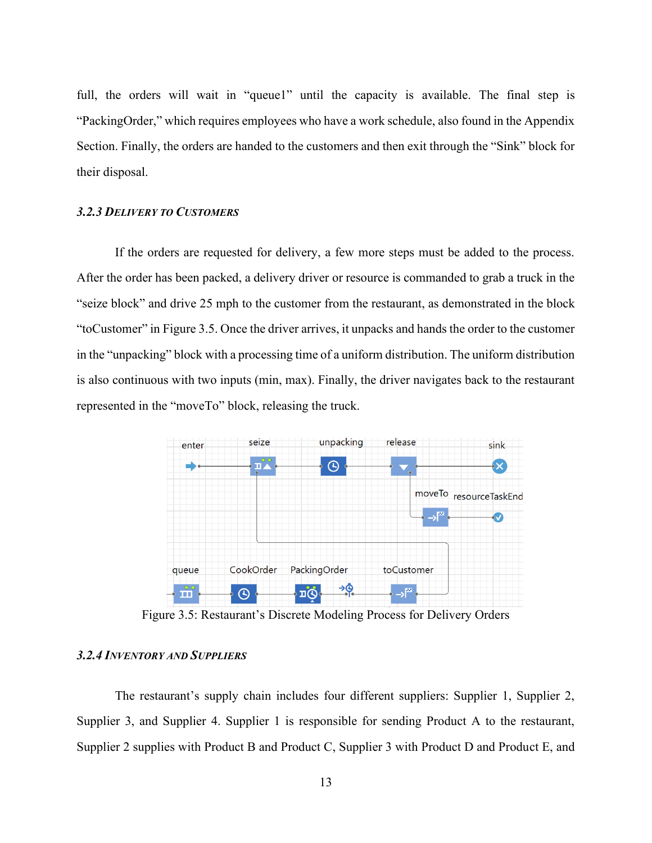full, the orders will wait in "queue1" until the capacity is available. The final step is "PackingOrder," which requires employees who have a work schedule, also found in the Appendix Section. Finally, the orders are handed to the customers and then exit through the "Sink" block for their disposal.

#### <span id="page-20-0"></span>*3.2.3 DELIVERY TO CUSTOMERS*

If the orders are requested for delivery, a few more steps must be added to the process. After the order has been packed, a delivery driver or resource is commanded to grab a truck in the "seize block" and drive 25 mph to the customer from the restaurant, as demonstrated in the block "toCustomer" in Figure 3.5. Once the driver arrives, it unpacks and hands the order to the customer in the "unpacking" block with a processing time of a uniform distribution. The uniform distribution is also continuous with two inputs (min, max). Finally, the driver navigates back to the restaurant represented in the "moveTo" block, releasing the truck.



Figure 3.5: Restaurant's Discrete Modeling Process for Delivery Orders

#### <span id="page-20-2"></span><span id="page-20-1"></span>*3.2.4 INVENTORY AND SUPPLIERS*

The restaurant's supply chain includes four different suppliers: Supplier 1, Supplier 2, Supplier 3, and Supplier 4. Supplier 1 is responsible for sending Product A to the restaurant, Supplier 2 supplies with Product B and Product C, Supplier 3 with Product D and Product E, and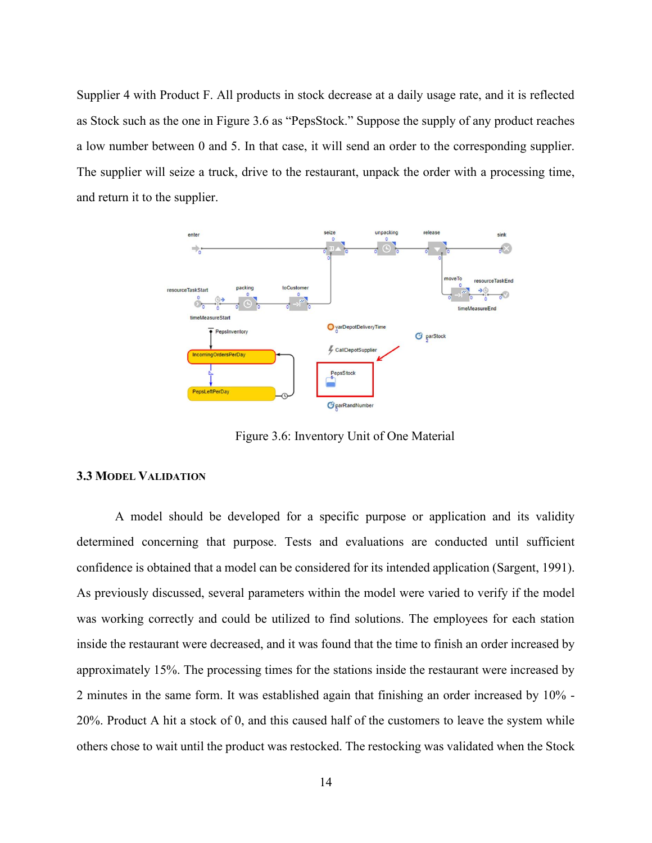Supplier 4 with Product F. All products in stock decrease at a daily usage rate, and it is reflected as Stock such as the one in Figure 3.6 as "PepsStock." Suppose the supply of any product reaches a low number between 0 and 5. In that case, it will send an order to the corresponding supplier. The supplier will seize a truck, drive to the restaurant, unpack the order with a processing time, and return it to the supplier.



Figure 3.6: Inventory Unit of One Material

#### <span id="page-21-1"></span><span id="page-21-0"></span>**3.3 MODEL VALIDATION**

A model should be developed for a specific purpose or application and its validity determined concerning that purpose. Tests and evaluations are conducted until sufficient confidence is obtained that a model can be considered for its intended application (Sargent, 1991). As previously discussed, several parameters within the model were varied to verify if the model was working correctly and could be utilized to find solutions. The employees for each station inside the restaurant were decreased, and it was found that the time to finish an order increased by approximately 15%. The processing times for the stations inside the restaurant were increased by 2 minutes in the same form. It was established again that finishing an order increased by 10% - 20%. Product A hit a stock of 0, and this caused half of the customers to leave the system while others chose to wait until the product was restocked. The restocking was validated when the Stock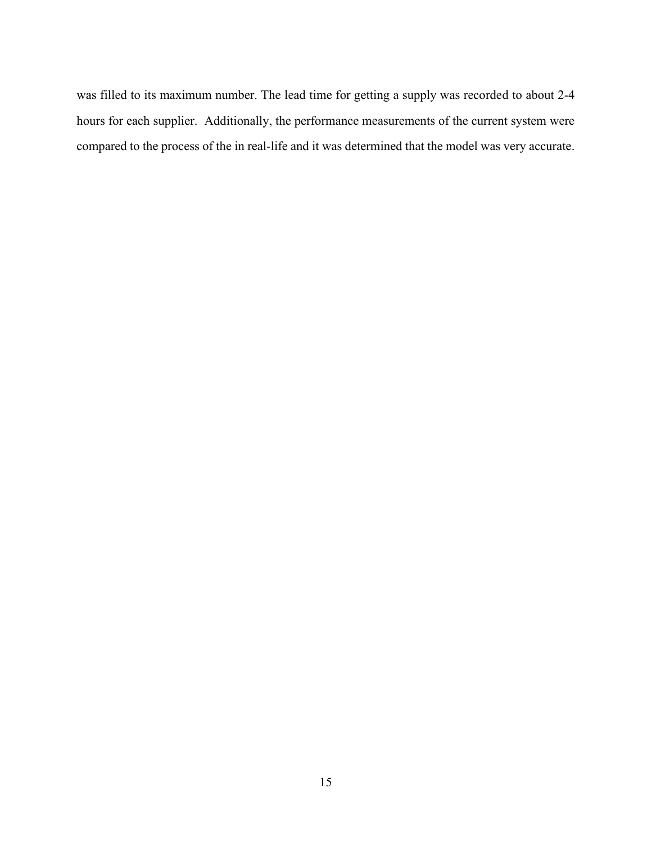was filled to its maximum number. The lead time for getting a supply was recorded to about 2-4 hours for each supplier. Additionally, the performance measurements of the current system were compared to the process of the in real-life and it was determined that the model was very accurate.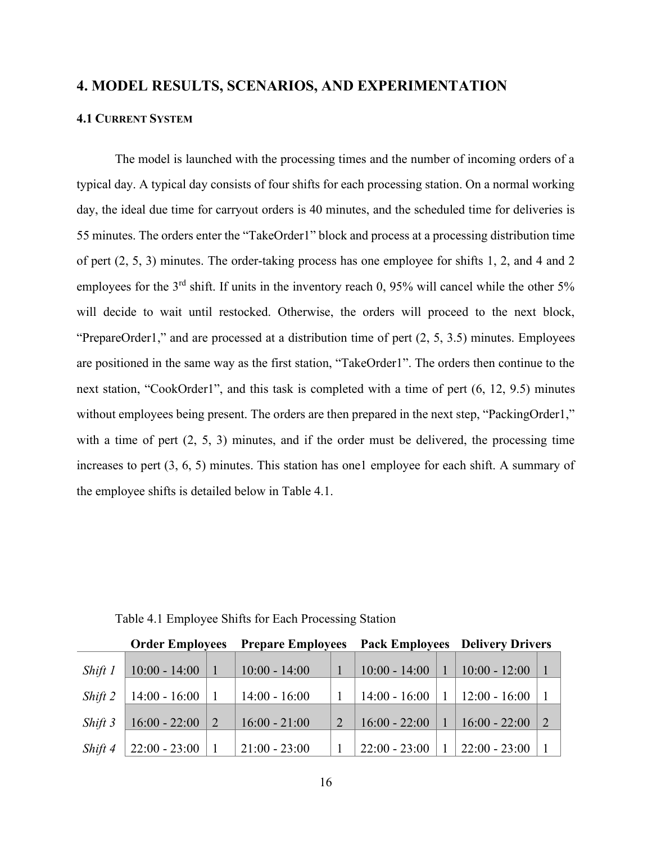### <span id="page-23-0"></span>**4. MODEL RESULTS, SCENARIOS, AND EXPERIMENTATION**

#### <span id="page-23-1"></span>**4.1 CURRENT SYSTEM**

The model is launched with the processing times and the number of incoming orders of a typical day. A typical day consists of four shifts for each processing station. On a normal working day, the ideal due time for carryout orders is 40 minutes, and the scheduled time for deliveries is 55 minutes. The orders enter the "TakeOrder1" block and process at a processing distribution time of pert (2, 5, 3) minutes. The order-taking process has one employee for shifts 1, 2, and 4 and 2 employees for the 3<sup>rd</sup> shift. If units in the inventory reach 0, 95% will cancel while the other 5% will decide to wait until restocked. Otherwise, the orders will proceed to the next block, "PrepareOrder1," and are processed at a distribution time of pert (2, 5, 3.5) minutes. Employees are positioned in the same way as the first station, "TakeOrder1". The orders then continue to the next station, "CookOrder1", and this task is completed with a time of pert (6, 12, 9.5) minutes without employees being present. The orders are then prepared in the next step, "PackingOrder1," with a time of pert  $(2, 5, 3)$  minutes, and if the order must be delivered, the processing time increases to pert (3, 6, 5) minutes. This station has one1 employee for each shift. A summary of the employee shifts is detailed below in Table 4.1.

<span id="page-23-2"></span>

|         | <b>Order Employees</b> | <b>Prepare Employees</b> |                | <b>Pack Employees</b> |  | <b>Delivery Drivers</b> |                |
|---------|------------------------|--------------------------|----------------|-----------------------|--|-------------------------|----------------|
| Shift 1 | $10:00 - 14:00$        | $10:00 - 14:00$          |                | $10:00 - 14:00$       |  | $10:00 - 12:00$         |                |
| Shift 2 | $14:00 - 16:00$        | $14:00 - 16:00$          |                | $14:00 - 16:00$       |  | $12:00 - 16:00$         |                |
| Shift 3 | $16:00 - 22:00$        | $16:00 - 21:00$          | $\overline{2}$ | $16:00 - 22:00$       |  | $16:00 - 22:00$         | $\overline{2}$ |
| Shift 4 | $22:00 - 23:00$        | $21:00 - 23:00$          |                | $22:00 - 23:00$       |  | $22:00 - 23:00$         |                |

Table 4.1 Employee Shifts for Each Processing Station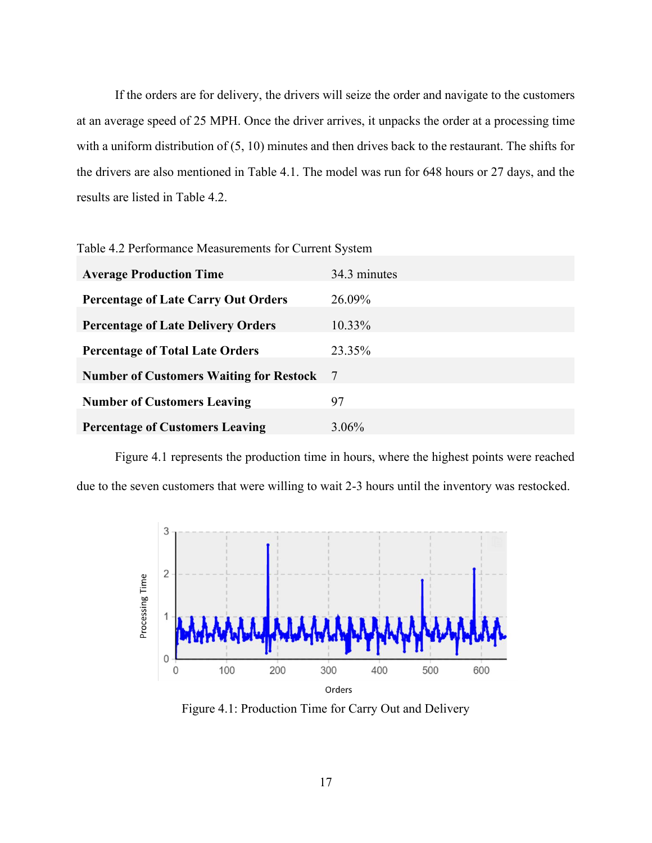If the orders are for delivery, the drivers will seize the order and navigate to the customers at an average speed of 25 MPH. Once the driver arrives, it unpacks the order at a processing time with a uniform distribution of (5, 10) minutes and then drives back to the restaurant. The shifts for the drivers are also mentioned in Table 4.1. The model was run for 648 hours or 27 days, and the results are listed in Table 4.2.

<span id="page-24-0"></span>Table 4.2 Performance Measurements for Current System

| <b>Average Production Time</b>                 | 34.3 minutes |
|------------------------------------------------|--------------|
| <b>Percentage of Late Carry Out Orders</b>     | 26.09%       |
| <b>Percentage of Late Delivery Orders</b>      | 10.33%       |
| <b>Percentage of Total Late Orders</b>         | 23.35%       |
| <b>Number of Customers Waiting for Restock</b> | -7           |
| <b>Number of Customers Leaving</b>             | 97           |
| <b>Percentage of Customers Leaving</b>         | 3.06%        |

Figure 4.1 represents the production time in hours, where the highest points were reached due to the seven customers that were willing to wait 2-3 hours until the inventory was restocked.



<span id="page-24-1"></span>Figure 4.1: Production Time for Carry Out and Delivery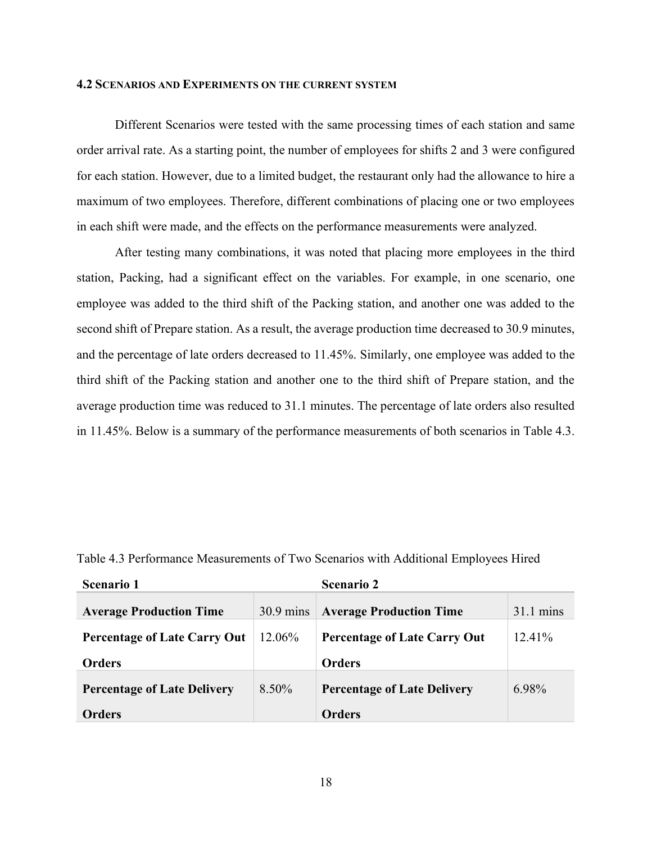#### <span id="page-25-0"></span>**4.2 SCENARIOS AND EXPERIMENTS ON THE CURRENT SYSTEM**

Different Scenarios were tested with the same processing times of each station and same order arrival rate. As a starting point, the number of employees for shifts 2 and 3 were configured for each station. However, due to a limited budget, the restaurant only had the allowance to hire a maximum of two employees. Therefore, different combinations of placing one or two employees in each shift were made, and the effects on the performance measurements were analyzed.

After testing many combinations, it was noted that placing more employees in the third station, Packing, had a significant effect on the variables. For example, in one scenario, one employee was added to the third shift of the Packing station, and another one was added to the second shift of Prepare station. As a result, the average production time decreased to 30.9 minutes, and the percentage of late orders decreased to 11.45%. Similarly, one employee was added to the third shift of the Packing station and another one to the third shift of Prepare station, and the average production time was reduced to 31.1 minutes. The percentage of late orders also resulted in 11.45%. Below is a summary of the performance measurements of both scenarios in Table 4.3.

| <b>Scenario 1</b>                   |                     | <b>Scenario 2</b>                   |                     |
|-------------------------------------|---------------------|-------------------------------------|---------------------|
| <b>Average Production Time</b>      | $30.9 \text{ mins}$ | <b>Average Production Time</b>      | $31.1 \text{ mins}$ |
| <b>Percentage of Late Carry Out</b> | 12.06%              | <b>Percentage of Late Carry Out</b> | $12.41\%$           |
| <b>Orders</b>                       |                     | <b>Orders</b>                       |                     |
| <b>Percentage of Late Delivery</b>  | $8.50\%$            | <b>Percentage of Late Delivery</b>  | 6.98%               |
| <b>Orders</b>                       |                     | <b>Orders</b>                       |                     |

<span id="page-25-1"></span>Table 4.3 Performance Measurements of Two Scenarios with Additional Employees Hired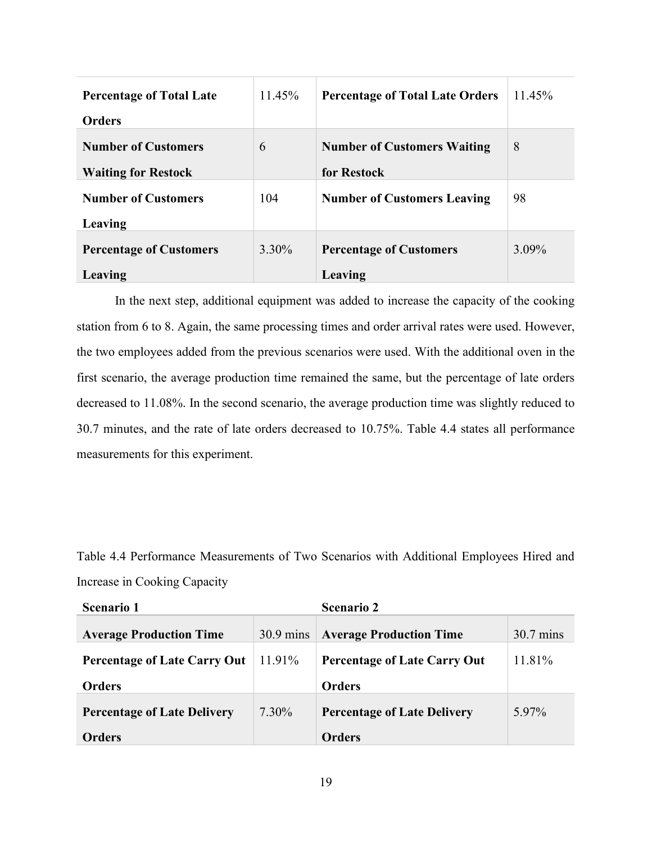| <b>Percentage of Total Late</b> | 11.45%   | <b>Percentage of Total Late Orders</b> | 11.45%   |
|---------------------------------|----------|----------------------------------------|----------|
| <b>Orders</b>                   |          |                                        |          |
| <b>Number of Customers</b>      | 6        | <b>Number of Customers Waiting</b>     | 8        |
| <b>Waiting for Restock</b>      |          | for Restock                            |          |
| <b>Number of Customers</b>      | 104      | <b>Number of Customers Leaving</b>     | 98       |
| Leaving                         |          |                                        |          |
| <b>Percentage of Customers</b>  | $3.30\%$ | <b>Percentage of Customers</b>         | $3.09\%$ |
| Leaving                         |          | Leaving                                |          |

In the next step, additional equipment was added to increase the capacity of the cooking station from 6 to 8. Again, the same processing times and order arrival rates were used. However, the two employees added from the previous scenarios were used. With the additional oven in the first scenario, the average production time remained the same, but the percentage of late orders decreased to 11.08%. In the second scenario, the average production time was slightly reduced to 30.7 minutes, and the rate of late orders decreased to 10.75%. Table 4.4 states all performance measurements for this experiment.

<span id="page-26-0"></span>Table 4.4 Performance Measurements of Two Scenarios with Additional Employees Hired and Increase in Cooking Capacity

| <b>Scenario 1</b>                   |                     | <b>Scenario 2</b>                   |                     |
|-------------------------------------|---------------------|-------------------------------------|---------------------|
| <b>Average Production Time</b>      | $30.9 \text{ mins}$ | <b>Average Production Time</b>      | $30.7 \text{ mins}$ |
| <b>Percentage of Late Carry Out</b> | 11.91%              | <b>Percentage of Late Carry Out</b> | 11.81%              |
| <b>Orders</b>                       |                     | <b>Orders</b>                       |                     |
| <b>Percentage of Late Delivery</b>  | 7.30%               | <b>Percentage of Late Delivery</b>  | 5.97%               |
| <b>Orders</b>                       |                     | <b>Orders</b>                       |                     |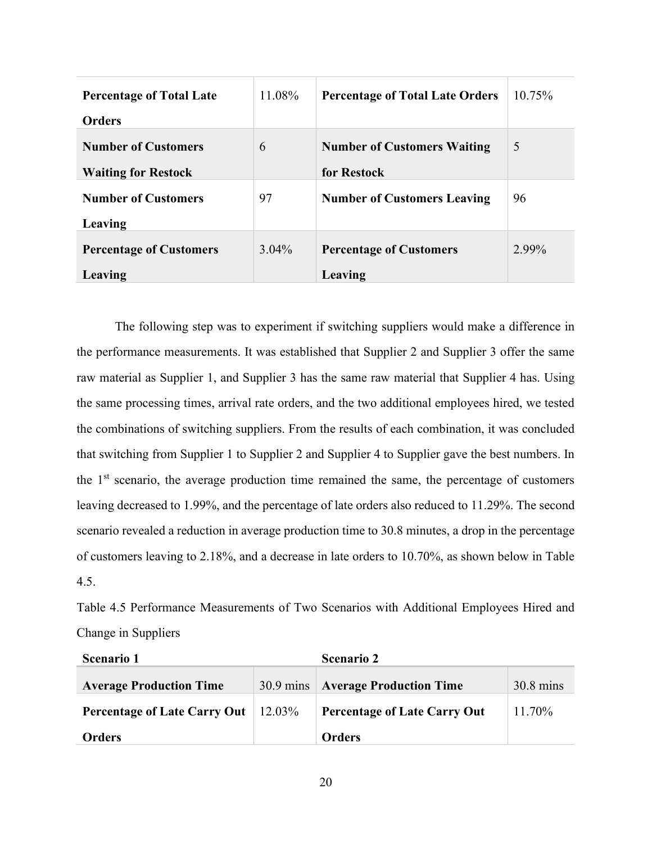| <b>Percentage of Total Late</b> | 11.08%   | <b>Percentage of Total Late Orders</b> | 10.75% |
|---------------------------------|----------|----------------------------------------|--------|
| <b>Orders</b>                   |          |                                        |        |
| <b>Number of Customers</b>      | 6        | <b>Number of Customers Waiting</b>     | 5      |
| <b>Waiting for Restock</b>      |          | for Restock                            |        |
| <b>Number of Customers</b>      | 97       | <b>Number of Customers Leaving</b>     | 96     |
| Leaving                         |          |                                        |        |
| <b>Percentage of Customers</b>  | $3.04\%$ | <b>Percentage of Customers</b>         | 2.99%  |
| Leaving                         |          | Leaving                                |        |

The following step was to experiment if switching suppliers would make a difference in the performance measurements. It was established that Supplier 2 and Supplier 3 offer the same raw material as Supplier 1, and Supplier 3 has the same raw material that Supplier 4 has. Using the same processing times, arrival rate orders, and the two additional employees hired, we tested the combinations of switching suppliers. From the results of each combination, it was concluded that switching from Supplier 1 to Supplier 2 and Supplier 4 to Supplier gave the best numbers. In the  $1<sup>st</sup>$  scenario, the average production time remained the same, the percentage of customers leaving decreased to 1.99%, and the percentage of late orders also reduced to 11.29%. The second scenario revealed a reduction in average production time to 30.8 minutes, a drop in the percentage of customers leaving to 2.18%, and a decrease in late orders to 10.70%, as shown below in Table 4.5.

<span id="page-27-0"></span>Table 4.5 Performance Measurements of Two Scenarios with Additional Employees Hired and Change in Suppliers

| <b>Scenario 1</b>                   |           | <b>Scenario 2</b>                   |                     |
|-------------------------------------|-----------|-------------------------------------|---------------------|
| <b>Average Production Time</b>      |           | 30.9 mins Average Production Time   | $30.8 \text{ mins}$ |
| <b>Percentage of Late Carry Out</b> | $12.03\%$ | <b>Percentage of Late Carry Out</b> | 11.70%              |
| <b>Orders</b>                       |           | <b>Orders</b>                       |                     |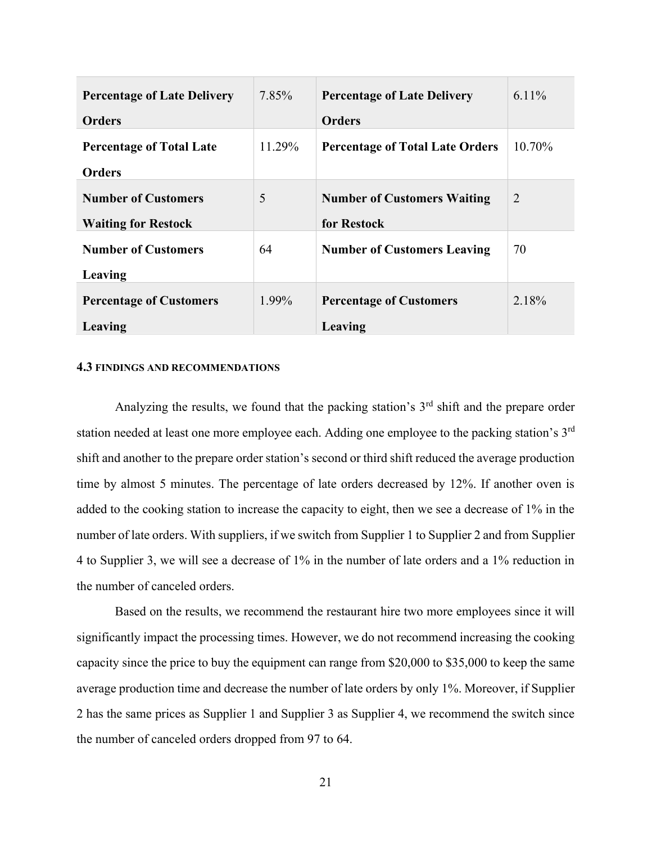| <b>Percentage of Late Delivery</b> | 7.85%  | <b>Percentage of Late Delivery</b>     | $6.11\%$       |
|------------------------------------|--------|----------------------------------------|----------------|
| <b>Orders</b>                      |        | <b>Orders</b>                          |                |
| <b>Percentage of Total Late</b>    | 11.29% | <b>Percentage of Total Late Orders</b> | $10.70\%$      |
| <b>Orders</b>                      |        |                                        |                |
| <b>Number of Customers</b>         | 5      | <b>Number of Customers Waiting</b>     | $\overline{2}$ |
| <b>Waiting for Restock</b>         |        | for Restock                            |                |
| <b>Number of Customers</b>         | 64     | <b>Number of Customers Leaving</b>     | 70             |
| Leaving                            |        |                                        |                |
| <b>Percentage of Customers</b>     | 1.99%  | <b>Percentage of Customers</b>         | 2.18%          |
| Leaving                            |        | Leaving                                |                |

#### <span id="page-28-0"></span>**4.3 FINDINGS AND RECOMMENDATIONS**

Analyzing the results, we found that the packing station's  $3<sup>rd</sup>$  shift and the prepare order station needed at least one more employee each. Adding one employee to the packing station's 3<sup>rd</sup> shift and another to the prepare order station's second or third shift reduced the average production time by almost 5 minutes. The percentage of late orders decreased by 12%. If another oven is added to the cooking station to increase the capacity to eight, then we see a decrease of 1% in the number of late orders. With suppliers, if we switch from Supplier 1 to Supplier 2 and from Supplier 4 to Supplier 3, we will see a decrease of 1% in the number of late orders and a 1% reduction in the number of canceled orders.

Based on the results, we recommend the restaurant hire two more employees since it will significantly impact the processing times. However, we do not recommend increasing the cooking capacity since the price to buy the equipment can range from \$20,000 to \$35,000 to keep the same average production time and decrease the number of late orders by only 1%. Moreover, if Supplier 2 has the same prices as Supplier 1 and Supplier 3 as Supplier 4, we recommend the switch since the number of canceled orders dropped from 97 to 64.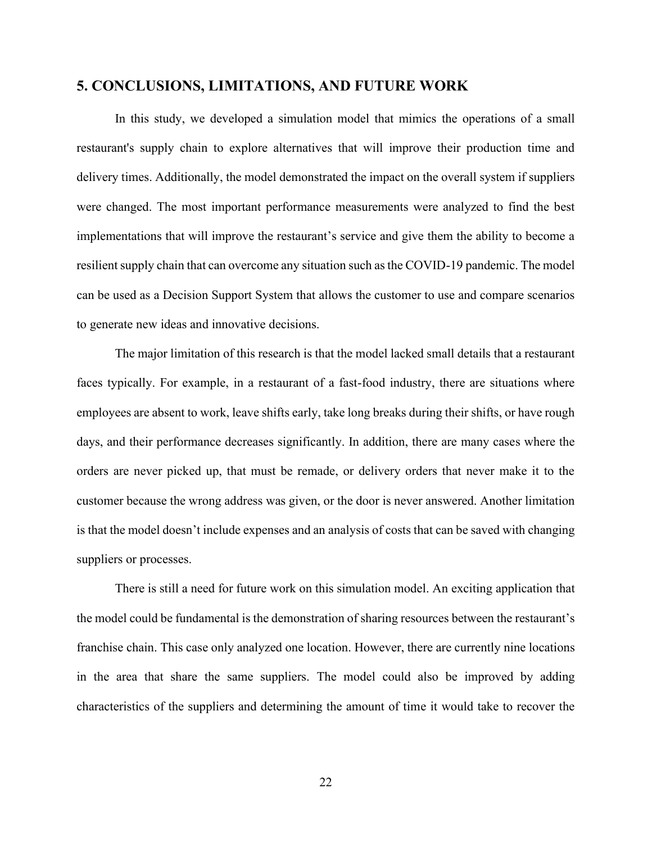#### <span id="page-29-0"></span>**5. CONCLUSIONS, LIMITATIONS, AND FUTURE WORK**

In this study, we developed a simulation model that mimics the operations of a small restaurant's supply chain to explore alternatives that will improve their production time and delivery times. Additionally, the model demonstrated the impact on the overall system if suppliers were changed. The most important performance measurements were analyzed to find the best implementations that will improve the restaurant's service and give them the ability to become a resilient supply chain that can overcome any situation such as the COVID-19 pandemic. The model can be used as a Decision Support System that allows the customer to use and compare scenarios to generate new ideas and innovative decisions.

The major limitation of this research is that the model lacked small details that a restaurant faces typically. For example, in a restaurant of a fast-food industry, there are situations where employees are absent to work, leave shifts early, take long breaks during their shifts, or have rough days, and their performance decreases significantly. In addition, there are many cases where the orders are never picked up, that must be remade, or delivery orders that never make it to the customer because the wrong address was given, or the door is never answered. Another limitation is that the model doesn't include expenses and an analysis of costs that can be saved with changing suppliers or processes.

There is still a need for future work on this simulation model. An exciting application that the model could be fundamental is the demonstration of sharing resources between the restaurant's franchise chain. This case only analyzed one location. However, there are currently nine locations in the area that share the same suppliers. The model could also be improved by adding characteristics of the suppliers and determining the amount of time it would take to recover the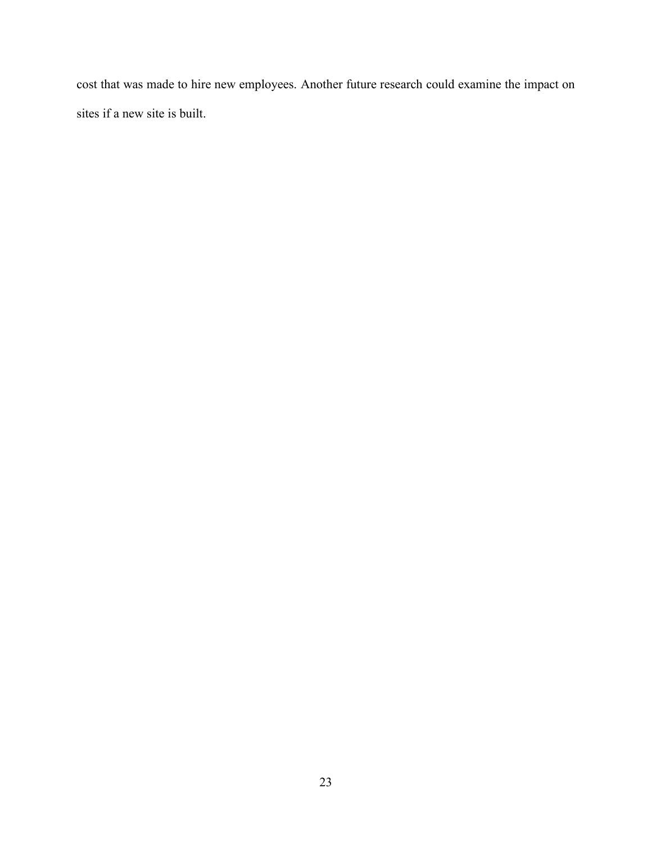cost that was made to hire new employees. Another future research could examine the impact on sites if a new site is built.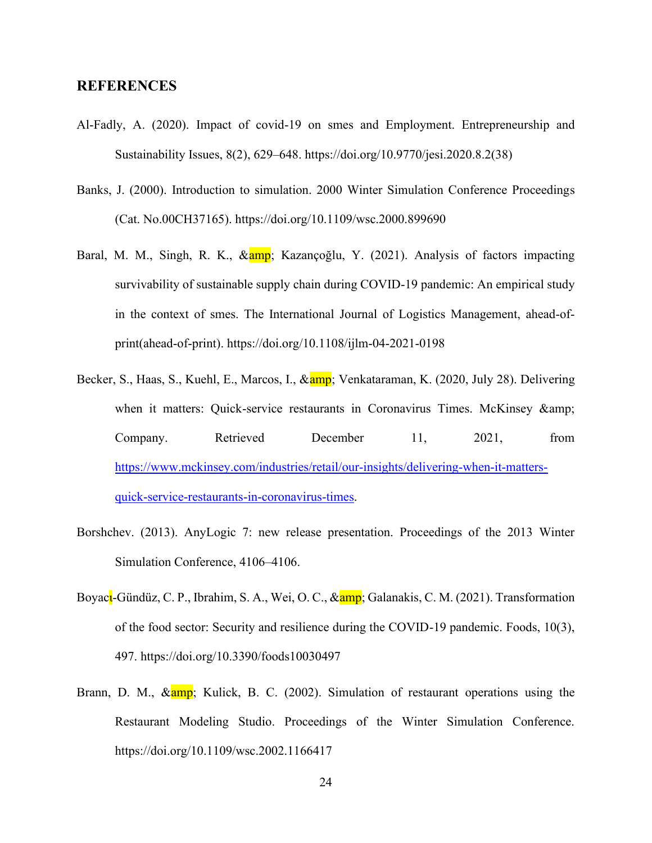#### <span id="page-31-0"></span>**REFERENCES**

- Al-Fadly, A. (2020). Impact of covid-19 on smes and Employment. Entrepreneurship and Sustainability Issues, 8(2), 629–648. https://doi.org/10.9770/jesi.2020.8.2(38)
- Banks, J. (2000). Introduction to simulation. 2000 Winter Simulation Conference Proceedings (Cat. No.00CH37165). https://doi.org/10.1109/wsc.2000.899690
- Baral, M. M., Singh, R. K., & amp; Kazançoğlu, Y. (2021). Analysis of factors impacting survivability of sustainable supply chain during COVID-19 pandemic: An empirical study in the context of smes. The International Journal of Logistics Management, ahead-ofprint(ahead-of-print). https://doi.org/10.1108/ijlm-04-2021-0198
- Becker, S., Haas, S., Kuehl, E., Marcos, I., & amp; Venkataraman, K. (2020, July 28). Delivering when it matters: Quick-service restaurants in Coronavirus Times. McKinsey & Company. Retrieved December 11, 2021, from [https://www.mckinsey.com/industries/retail/our-insights/delivering-when-it-matters](https://www.mckinsey.com/industries/retail/our-insights/delivering-when-it-matters-quick-service-restaurants-in-coronavirus-times)[quick-service-restaurants-in-coronavirus-times.](https://www.mckinsey.com/industries/retail/our-insights/delivering-when-it-matters-quick-service-restaurants-in-coronavirus-times)
- Borshchev. (2013). AnyLogic 7: new release presentation. Proceedings of the 2013 Winter Simulation Conference, 4106–4106.
- Boyacu-Gündüz, C. P., Ibrahim, S. A., Wei, O. C., & amp; Galanakis, C. M. (2021). Transformation of the food sector: Security and resilience during the COVID-19 pandemic. Foods, 10(3), 497. https://doi.org/10.3390/foods10030497
- Brann, D. M.,  $\& \frac{\text{amp}}{\text{amp}}$ ; Kulick, B. C. (2002). Simulation of restaurant operations using the Restaurant Modeling Studio. Proceedings of the Winter Simulation Conference. https://doi.org/10.1109/wsc.2002.1166417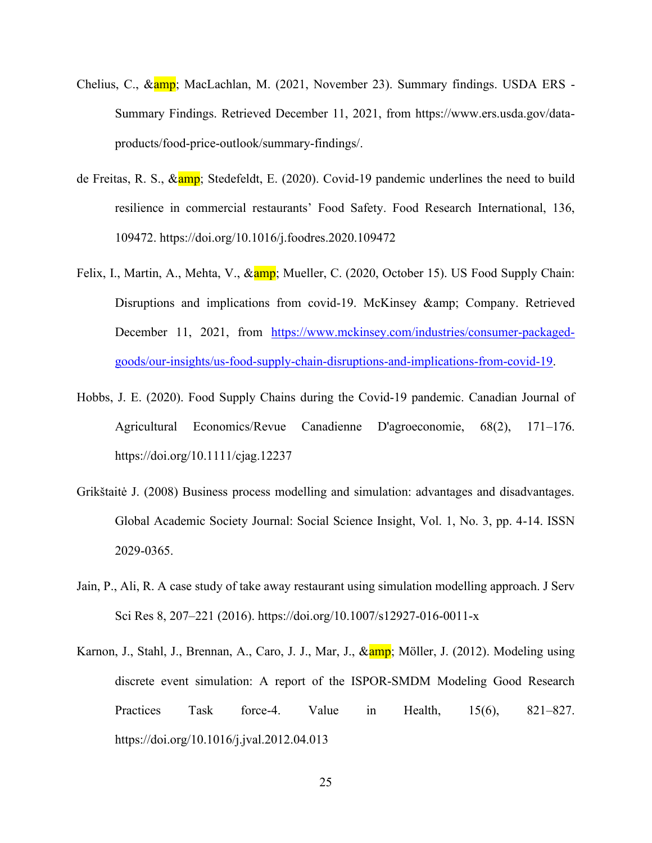- Chelius, C., & amp; MacLachlan, M. (2021, November 23). Summary findings. USDA ERS -Summary Findings. Retrieved December 11, 2021, from https://www.ers.usda.gov/dataproducts/food-price-outlook/summary-findings/.
- de Freitas, R. S., & amp; Stedefeldt, E. (2020). Covid-19 pandemic underlines the need to build resilience in commercial restaurants' Food Safety. Food Research International, 136, 109472. https://doi.org/10.1016/j.foodres.2020.109472
- Felix, I., Martin, A., Mehta, V., & amp; Mueller, C. (2020, October 15). US Food Supply Chain: Disruptions and implications from covid-19. McKinsey & amp; Company. Retrieved December 11, 2021, from [https://www.mckinsey.com/industries/consumer-packaged](https://www.mckinsey.com/industries/consumer-packaged-goods/our-insights/us-food-supply-chain-disruptions-and-implications-from-covid-19)[goods/our-insights/us-food-supply-chain-disruptions-and-implications-from-covid-19.](https://www.mckinsey.com/industries/consumer-packaged-goods/our-insights/us-food-supply-chain-disruptions-and-implications-from-covid-19)
- Hobbs, J. E. (2020). Food Supply Chains during the Covid‐19 pandemic. Canadian Journal of Agricultural Economics/Revue Canadienne D'agroeconomie, 68(2), 171–176. https://doi.org/10.1111/cjag.12237
- Grikštaitė J. (2008) Business process modelling and simulation: advantages and disadvantages. Global Academic Society Journal: Social Science Insight, Vol. 1, No. 3, pp. 4-14. ISSN 2029-0365.
- Jain, P., Ali, R. A case study of take away restaurant using simulation modelling approach. J Serv Sci Res 8, 207–221 (2016). https://doi.org/10.1007/s12927-016-0011-x
- Karnon, J., Stahl, J., Brennan, A., Caro, J. J., Mar, J., & amp. Möller, J. (2012). Modeling using discrete event simulation: A report of the ISPOR-SMDM Modeling Good Research Practices Task force-4. Value in Health, 15(6), 821–827. https://doi.org/10.1016/j.jval.2012.04.013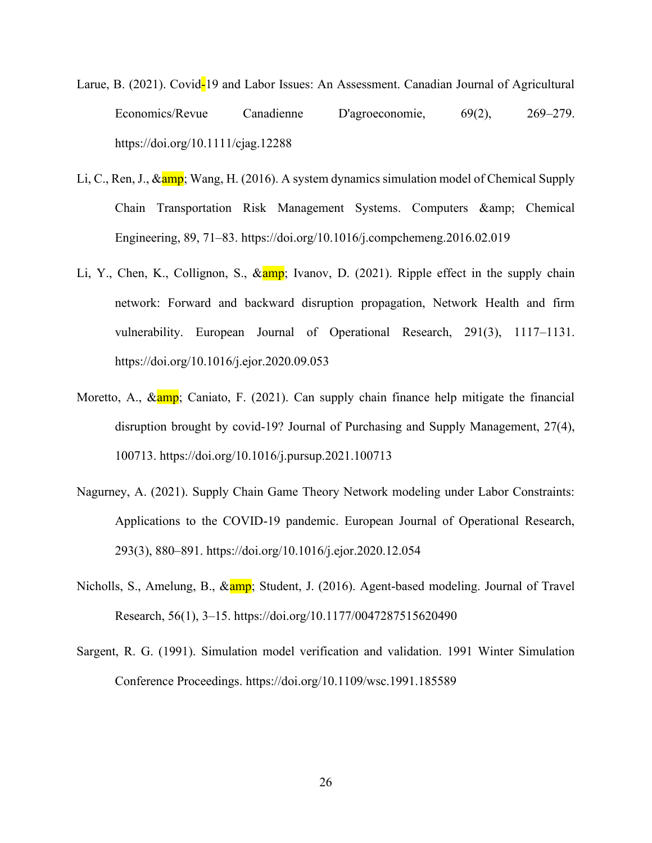- Larue, B. (2021). Covid-19 and Labor Issues: An Assessment. Canadian Journal of Agricultural Economics/Revue Canadienne D'agroeconomie, 69(2), 269–279. https://doi.org/10.1111/cjag.12288
- Li, C., Ren, J., & amp; Wang, H. (2016). A system dynamics simulation model of Chemical Supply Chain Transportation Risk Management Systems. Computers & amp; Chemical Engineering, 89, 71–83. https://doi.org/10.1016/j.compchemeng.2016.02.019
- Li, Y., Chen, K., Collignon, S., & amp; Ivanov, D. (2021). Ripple effect in the supply chain network: Forward and backward disruption propagation, Network Health and firm vulnerability. European Journal of Operational Research, 291(3), 1117–1131. https://doi.org/10.1016/j.ejor.2020.09.053
- Moretto, A.,  $\&$ amp; Caniato, F. (2021). Can supply chain finance help mitigate the financial disruption brought by covid-19? Journal of Purchasing and Supply Management, 27(4), 100713. https://doi.org/10.1016/j.pursup.2021.100713
- Nagurney, A. (2021). Supply Chain Game Theory Network modeling under Labor Constraints: Applications to the COVID-19 pandemic. European Journal of Operational Research, 293(3), 880–891. https://doi.org/10.1016/j.ejor.2020.12.054
- Nicholls, S., Amelung, B., & amp; Student, J. (2016). Agent-based modeling. Journal of Travel Research, 56(1), 3–15. https://doi.org/10.1177/0047287515620490
- Sargent, R. G. (1991). Simulation model verification and validation. 1991 Winter Simulation Conference Proceedings. https://doi.org/10.1109/wsc.1991.185589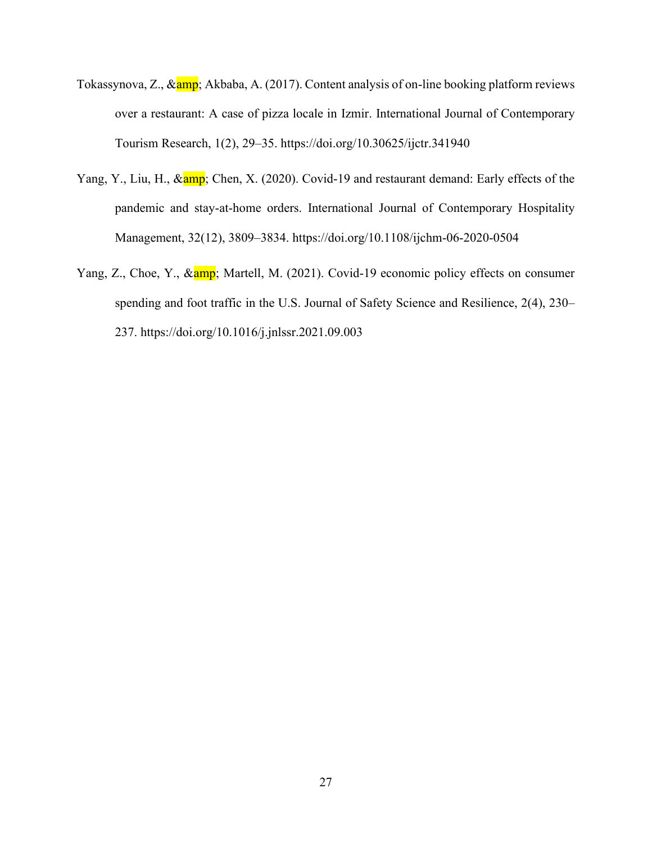- Tokassynova, Z., & amp; Akbaba, A. (2017). Content analysis of on-line booking platform reviews over a restaurant: A case of pizza locale in Izmir. International Journal of Contemporary Tourism Research, 1(2), 29–35. https://doi.org/10.30625/ijctr.341940
- Yang, Y., Liu, H., & amp; Chen, X. (2020). Covid-19 and restaurant demand: Early effects of the pandemic and stay-at-home orders. International Journal of Contemporary Hospitality Management, 32(12), 3809–3834. https://doi.org/10.1108/ijchm-06-2020-0504
- Yang, Z., Choe, Y., & amp; Martell, M. (2021). Covid-19 economic policy effects on consumer spending and foot traffic in the U.S. Journal of Safety Science and Resilience, 2(4), 230– 237. https://doi.org/10.1016/j.jnlssr.2021.09.003